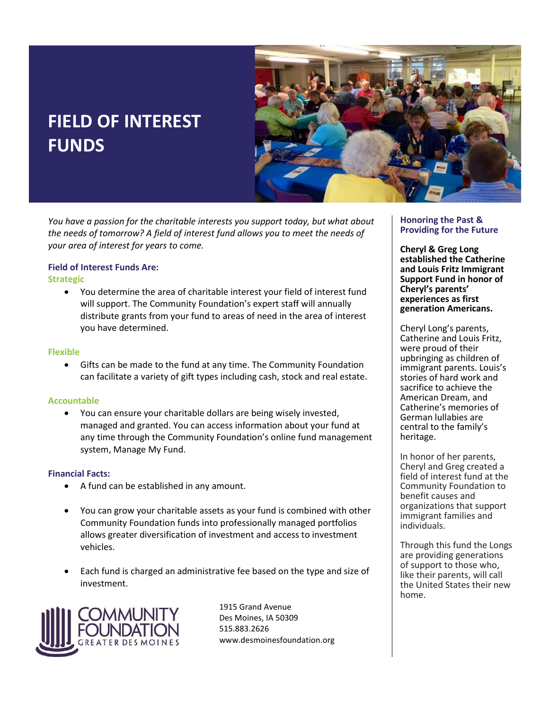# **FIELD OF INTEREST FUNDS**



*You have a passion for the charitable interests you support today, but what about the needs of tomorrow? A field of interest fund allows you to meet the needs of your area of interest for years to come.* 

## **Field of Interest Funds Are:**

**Strategic**

• You determine the area of charitable interest your field of interest fund will support. The Community Foundation's expert staff will annually distribute grants from your fund to areas of need in the area of interest you have determined.

#### **Flexible**

• Gifts can be made to the fund at any time. The Community Foundation can facilitate a variety of gift types including cash, stock and real estate.

### **Accountable**

• You can ensure your charitable dollars are being wisely invested, managed and granted. You can access information about your fund at any time through the Community Foundation's online fund management system, Manage My Fund.

#### **Financial Facts:**

- A fund can be established in any amount.
- You can grow your charitable assets as your fund is combined with other Community Foundation funds into professionally managed portfolios allows greater diversification of investment and access to investment vehicles.
- Each fund is charged an administrative fee based on the type and size of investment.



1915 Grand Avenue Des Moines, IA 50309 515.883.2626 www.desmoinesfoundation.org

#### **Honoring the Past & Providing for the Future**

**Cheryl & Greg Long established the Catherine and Louis Fritz Immigrant Support Fund in honor of Cheryl's parents' experiences as first generation Americans.**

Cheryl Long's parents, Catherine and Louis Fritz, were proud of their upbringing as children of immigrant parents. Louis's stories of hard work and sacrifice to achieve the American Dream, and Catherine's memories of German lullabies are central to the family's heritage.

In honor of her parents, Cheryl and Greg created a field of interest fund at the Community Foundation to benefit causes and organizations that support immigrant families and individuals.

Through this fund the Longs are providing generations of support to those who, like their parents, will call the United States their new home.